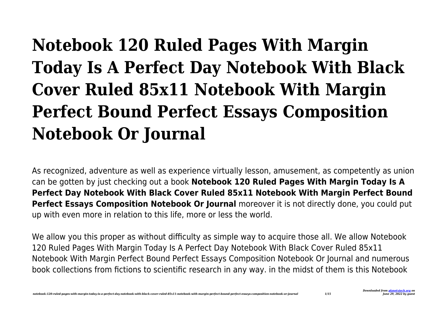# **Notebook 120 Ruled Pages With Margin Today Is A Perfect Day Notebook With Black Cover Ruled 85x11 Notebook With Margin Perfect Bound Perfect Essays Composition Notebook Or Journal**

As recognized, adventure as well as experience virtually lesson, amusement, as competently as union can be gotten by just checking out a book **Notebook 120 Ruled Pages With Margin Today Is A Perfect Day Notebook With Black Cover Ruled 85x11 Notebook With Margin Perfect Bound Perfect Essays Composition Notebook Or Journal** moreover it is not directly done, you could put up with even more in relation to this life, more or less the world.

We allow you this proper as without difficulty as simple way to acquire those all. We allow Notebook 120 Ruled Pages With Margin Today Is A Perfect Day Notebook With Black Cover Ruled 85x11 Notebook With Margin Perfect Bound Perfect Essays Composition Notebook Or Journal and numerous book collections from fictions to scientific research in any way. in the midst of them is this Notebook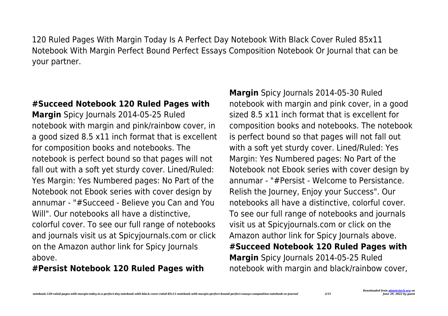120 Ruled Pages With Margin Today Is A Perfect Day Notebook With Black Cover Ruled 85x11 Notebook With Margin Perfect Bound Perfect Essays Composition Notebook Or Journal that can be your partner.

#### **#Succeed Notebook 120 Ruled Pages with**

**Margin** Spicy Journals 2014-05-25 Ruled notebook with margin and pink/rainbow cover, in a good sized 8.5 x11 inch format that is excellent for composition books and notebooks. The notebook is perfect bound so that pages will not fall out with a soft yet sturdy cover. Lined/Ruled: Yes Margin: Yes Numbered pages: No Part of the Notebook not Ebook series with cover design by annumar - "#Succeed - Believe you Can and You Will". Our notebooks all have a distinctive, colorful cover. To see our full range of notebooks and journals visit us at Spicyjournals.com or click on the Amazon author link for Spicy Journals above.

#### **#Persist Notebook 120 Ruled Pages with**

**Margin** Spicy Journals 2014-05-30 Ruled notebook with margin and pink cover, in a good sized 8.5 x11 inch format that is excellent for composition books and notebooks. The notebook is perfect bound so that pages will not fall out with a soft yet sturdy cover. Lined/Ruled: Yes Margin: Yes Numbered pages: No Part of the Notebook not Ebook series with cover design by annumar - "#Persist - Welcome to Persistance. Relish the Journey, Enjoy your Success". Our notebooks all have a distinctive, colorful cover. To see our full range of notebooks and journals visit us at Spicyjournals.com or click on the Amazon author link for Spicy Journals above. **#Succeed Notebook 120 Ruled Pages with Margin** Spicy Journals 2014-05-25 Ruled notebook with margin and black/rainbow cover,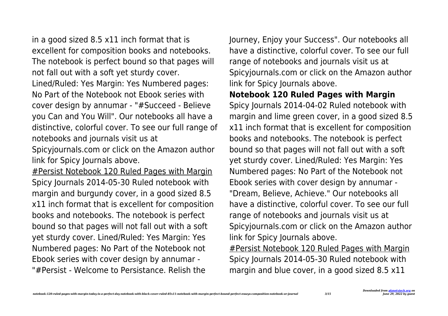in a good sized 8.5 x11 inch format that is excellent for composition books and notebooks. The notebook is perfect bound so that pages will not fall out with a soft yet sturdy cover. Lined/Ruled: Yes Margin: Yes Numbered pages: No Part of the Notebook not Ebook series with cover design by annumar - "#Succeed - Believe you Can and You Will". Our notebooks all have a distinctive, colorful cover. To see our full range of notebooks and journals visit us at

Spicyjournals.com or click on the Amazon author link for Spicy Journals above.

#Persist Notebook 120 Ruled Pages with Margin Spicy Journals 2014-05-30 Ruled notebook with margin and burgundy cover, in a good sized 8.5 x11 inch format that is excellent for composition books and notebooks. The notebook is perfect bound so that pages will not fall out with a soft yet sturdy cover. Lined/Ruled: Yes Margin: Yes Numbered pages: No Part of the Notebook not Ebook series with cover design by annumar - "#Persist - Welcome to Persistance. Relish the

Journey, Enjoy your Success". Our notebooks all have a distinctive, colorful cover. To see our full range of notebooks and journals visit us at Spicyjournals.com or click on the Amazon author link for Spicy Journals above.

**Notebook 120 Ruled Pages with Margin** Spicy Journals 2014-04-02 Ruled notebook with margin and lime green cover, in a good sized 8.5 x11 inch format that is excellent for composition books and notebooks. The notebook is perfect bound so that pages will not fall out with a soft yet sturdy cover. Lined/Ruled: Yes Margin: Yes Numbered pages: No Part of the Notebook not Ebook series with cover design by annumar - "Dream, Believe, Achieve." Our notebooks all have a distinctive, colorful cover. To see our full range of notebooks and journals visit us at Spicyjournals.com or click on the Amazon author link for Spicy Journals above. #Persist Notebook 120 Ruled Pages with Margin Spicy Journals 2014-05-30 Ruled notebook with margin and blue cover, in a good sized 8.5 x11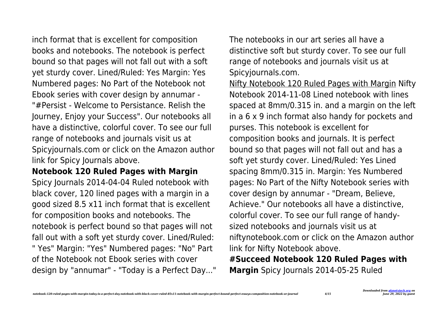inch format that is excellent for composition books and notebooks. The notebook is perfect bound so that pages will not fall out with a soft yet sturdy cover. Lined/Ruled: Yes Margin: Yes Numbered pages: No Part of the Notebook not Ebook series with cover design by annumar - "#Persist - Welcome to Persistance. Relish the Journey, Enjoy your Success". Our notebooks all have a distinctive, colorful cover. To see our full range of notebooks and journals visit us at Spicyjournals.com or click on the Amazon author link for Spicy Journals above.

## **Notebook 120 Ruled Pages with Margin**

Spicy Journals 2014-04-04 Ruled notebook with black cover, 120 lined pages with a margin in a good sized 8.5 x11 inch format that is excellent for composition books and notebooks. The notebook is perfect bound so that pages will not fall out with a soft yet sturdy cover. Lined/Ruled: " Yes" Margin: "Yes" Numbered pages: "No" Part of the Notebook not Ebook series with cover design by "annumar" - "Today is a Perfect Day..." The notebooks in our art series all have a distinctive soft but sturdy cover. To see our full range of notebooks and journals visit us at Spicyjournals.com.

Nifty Notebook 120 Ruled Pages with Margin Nifty Notebook 2014-11-08 Lined notebook with lines spaced at 8mm/0.315 in. and a margin on the left in a 6 x 9 inch format also handy for pockets and purses. This notebook is excellent for composition books and journals. It is perfect bound so that pages will not fall out and has a soft yet sturdy cover. Lined/Ruled: Yes Lined spacing 8mm/0.315 in. Margin: Yes Numbered pages: No Part of the Nifty Notebook series with cover design by annumar - "Dream, Believe, Achieve." Our notebooks all have a distinctive, colorful cover. To see our full range of handysized notebooks and journals visit us at niftynotebook.com or click on the Amazon author link for Nifty Notebook above. **#Succeed Notebook 120 Ruled Pages with Margin** Spicy Journals 2014-05-25 Ruled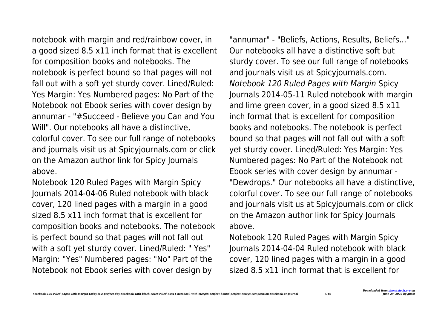notebook with margin and red/rainbow cover, in a good sized 8.5 x11 inch format that is excellent for composition books and notebooks. The notebook is perfect bound so that pages will not fall out with a soft yet sturdy cover. Lined/Ruled: Yes Margin: Yes Numbered pages: No Part of the Notebook not Ebook series with cover design by annumar - "#Succeed - Believe you Can and You Will". Our notebooks all have a distinctive. colorful cover. To see our full range of notebooks and journals visit us at Spicyjournals.com or click on the Amazon author link for Spicy Journals

above.

Notebook 120 Ruled Pages with Margin Spicy Journals 2014-04-06 Ruled notebook with black cover, 120 lined pages with a margin in a good sized 8.5 x11 inch format that is excellent for composition books and notebooks. The notebook is perfect bound so that pages will not fall out with a soft yet sturdy cover. Lined/Ruled: " Yes" Margin: "Yes" Numbered pages: "No" Part of the Notebook not Ebook series with cover design by

"annumar" - "Beliefs, Actions, Results, Beliefs..." Our notebooks all have a distinctive soft but sturdy cover. To see our full range of notebooks and journals visit us at Spicyjournals.com. Notebook 120 Ruled Pages with Margin Spicy Journals 2014-05-11 Ruled notebook with margin and lime green cover, in a good sized 8.5 x11 inch format that is excellent for composition books and notebooks. The notebook is perfect bound so that pages will not fall out with a soft yet sturdy cover. Lined/Ruled: Yes Margin: Yes Numbered pages: No Part of the Notebook not Ebook series with cover design by annumar - "Dewdrops." Our notebooks all have a distinctive, colorful cover. To see our full range of notebooks and journals visit us at Spicyjournals.com or click on the Amazon author link for Spicy Journals above.

Notebook 120 Ruled Pages with Margin Spicy Journals 2014-04-04 Ruled notebook with black cover, 120 lined pages with a margin in a good sized 8.5 x11 inch format that is excellent for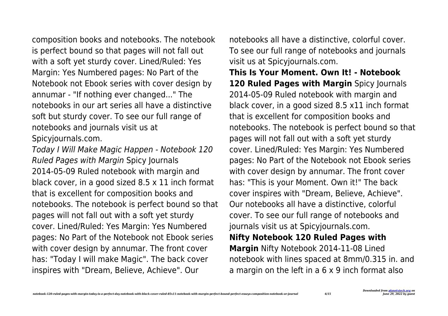composition books and notebooks. The notebook is perfect bound so that pages will not fall out with a soft yet sturdy cover. Lined/Ruled: Yes Margin: Yes Numbered pages: No Part of the Notebook not Ebook series with cover design by annumar - "If nothing ever changed..." The notebooks in our art series all have a distinctive soft but sturdy cover. To see our full range of notebooks and journals visit us at Spicyjournals.com.

Today I Will Make Magic Happen - Notebook 120 Ruled Pages with Margin Spicy Journals 2014-05-09 Ruled notebook with margin and black cover, in a good sized 8.5 x 11 inch format that is excellent for composition books and notebooks. The notebook is perfect bound so that pages will not fall out with a soft yet sturdy cover. Lined/Ruled: Yes Margin: Yes Numbered pages: No Part of the Notebook not Ebook series with cover design by annumar. The front cover has: "Today I will make Magic". The back cover inspires with "Dream, Believe, Achieve". Our

notebooks all have a distinctive, colorful cover. To see our full range of notebooks and journals visit us at Spicyjournals.com.

**This Is Your Moment. Own It! - Notebook 120 Ruled Pages with Margin** Spicy Journals 2014-05-09 Ruled notebook with margin and black cover, in a good sized 8.5 x11 inch format that is excellent for composition books and notebooks. The notebook is perfect bound so that pages will not fall out with a soft yet sturdy cover. Lined/Ruled: Yes Margin: Yes Numbered pages: No Part of the Notebook not Ebook series with cover design by annumar. The front cover has: "This is your Moment. Own it!" The back cover inspires with "Dream, Believe, Achieve". Our notebooks all have a distinctive, colorful cover. To see our full range of notebooks and journals visit us at Spicyjournals.com. **Nifty Notebook 120 Ruled Pages with Margin** Nifty Notebook 2014-11-08 Lined notebook with lines spaced at 8mm/0.315 in. and

a margin on the left in a 6 x 9 inch format also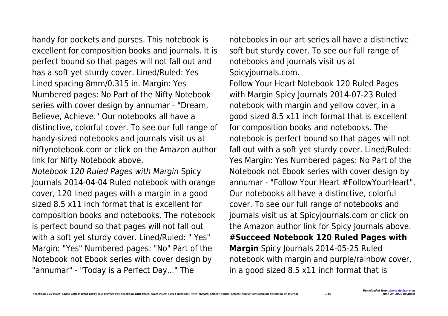handy for pockets and purses. This notebook is excellent for composition books and journals. It is perfect bound so that pages will not fall out and has a soft yet sturdy cover. Lined/Ruled: Yes Lined spacing 8mm/0.315 in. Margin: Yes Numbered pages: No Part of the Nifty Notebook series with cover design by annumar - "Dream, Believe, Achieve." Our notebooks all have a distinctive, colorful cover. To see our full range of handy-sized notebooks and journals visit us at niftynotebook.com or click on the Amazon author link for Nifty Notebook above.

Notebook 120 Ruled Pages with Margin Spicy Journals 2014-04-04 Ruled notebook with orange cover, 120 lined pages with a margin in a good sized 8.5 x11 inch format that is excellent for composition books and notebooks. The notebook is perfect bound so that pages will not fall out with a soft yet sturdy cover. Lined/Ruled: " Yes" Margin: "Yes" Numbered pages: "No" Part of the Notebook not Ebook series with cover design by "annumar" - "Today is a Perfect Day..." The

notebooks in our art series all have a distinctive soft but sturdy cover. To see our full range of notebooks and journals visit us at Spicyjournals.com.

Follow Your Heart Notebook 120 Ruled Pages with Margin Spicy Journals 2014-07-23 Ruled notebook with margin and yellow cover, in a good sized 8.5 x11 inch format that is excellent for composition books and notebooks. The notebook is perfect bound so that pages will not fall out with a soft yet sturdy cover. Lined/Ruled: Yes Margin: Yes Numbered pages: No Part of the Notebook not Ebook series with cover design by annumar - "Follow Your Heart #FollowYourHeart". Our notebooks all have a distinctive, colorful cover. To see our full range of notebooks and journals visit us at Spicyjournals.com or click on the Amazon author link for Spicy Journals above. **#Succeed Notebook 120 Ruled Pages with Margin** Spicy Journals 2014-05-25 Ruled notebook with margin and purple/rainbow cover, in a good sized 8.5 x11 inch format that is

*Downloaded from [planetxtech.org](https://planetxtech.org) on June 29, 2022 by guest*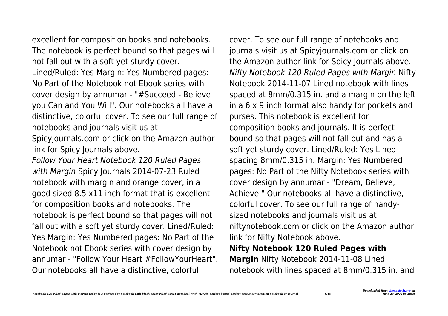excellent for composition books and notebooks. The notebook is perfect bound so that pages will not fall out with a soft yet sturdy cover. Lined/Ruled: Yes Margin: Yes Numbered pages: No Part of the Notebook not Ebook series with cover design by annumar - "#Succeed - Believe you Can and You Will". Our notebooks all have a distinctive, colorful cover. To see our full range of notebooks and journals visit us at

Spicyjournals.com or click on the Amazon author link for Spicy Journals above.

Follow Your Heart Notebook 120 Ruled Pages with Margin Spicy Journals 2014-07-23 Ruled notebook with margin and orange cover, in a good sized 8.5 x11 inch format that is excellent for composition books and notebooks. The notebook is perfect bound so that pages will not fall out with a soft yet sturdy cover. Lined/Ruled: Yes Margin: Yes Numbered pages: No Part of the Notebook not Ebook series with cover design by annumar - "Follow Your Heart #FollowYourHeart". Our notebooks all have a distinctive, colorful

cover. To see our full range of notebooks and journals visit us at Spicyjournals.com or click on the Amazon author link for Spicy Journals above. Nifty Notebook 120 Ruled Pages with Margin Nifty Notebook 2014-11-07 Lined notebook with lines spaced at 8mm/0.315 in. and a margin on the left in a 6 x 9 inch format also handy for pockets and purses. This notebook is excellent for composition books and journals. It is perfect bound so that pages will not fall out and has a soft yet sturdy cover. Lined/Ruled: Yes Lined spacing 8mm/0.315 in. Margin: Yes Numbered pages: No Part of the Nifty Notebook series with cover design by annumar - "Dream, Believe, Achieve." Our notebooks all have a distinctive, colorful cover. To see our full range of handysized notebooks and journals visit us at niftynotebook.com or click on the Amazon author link for Nifty Notebook above. **Nifty Notebook 120 Ruled Pages with**

**Margin** Nifty Notebook 2014-11-08 Lined notebook with lines spaced at 8mm/0.315 in. and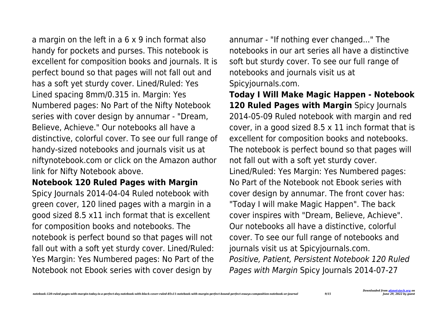a margin on the left in a 6 x 9 inch format also handy for pockets and purses. This notebook is excellent for composition books and journals. It is perfect bound so that pages will not fall out and has a soft yet sturdy cover. Lined/Ruled: Yes Lined spacing 8mm/0.315 in. Margin: Yes Numbered pages: No Part of the Nifty Notebook series with cover design by annumar - "Dream, Believe, Achieve." Our notebooks all have a distinctive, colorful cover. To see our full range of handy-sized notebooks and journals visit us at niftynotebook.com or click on the Amazon author link for Nifty Notebook above.

## **Notebook 120 Ruled Pages with Margin**

Spicy Journals 2014-04-04 Ruled notebook with green cover, 120 lined pages with a margin in a good sized 8.5 x11 inch format that is excellent for composition books and notebooks. The notebook is perfect bound so that pages will not fall out with a soft yet sturdy cover. Lined/Ruled: Yes Margin: Yes Numbered pages: No Part of the Notebook not Ebook series with cover design by

annumar - "If nothing ever changed..." The notebooks in our art series all have a distinctive soft but sturdy cover. To see our full range of notebooks and journals visit us at Spicyjournals.com.

**Today I Will Make Magic Happen - Notebook 120 Ruled Pages with Margin** Spicy Journals 2014-05-09 Ruled notebook with margin and red cover, in a good sized 8.5 x 11 inch format that is excellent for composition books and notebooks. The notebook is perfect bound so that pages will not fall out with a soft yet sturdy cover. Lined/Ruled: Yes Margin: Yes Numbered pages: No Part of the Notebook not Ebook series with cover design by annumar. The front cover has: "Today I will make Magic Happen". The back cover inspires with "Dream, Believe, Achieve". Our notebooks all have a distinctive, colorful cover. To see our full range of notebooks and journals visit us at Spicyjournals.com. Positive, Patient, Persistent Notebook 120 Ruled Pages with Margin Spicy Journals 2014-07-27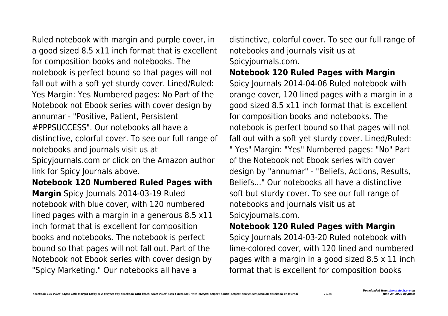a good sized 8.5 x11 inch format that is excellent for composition books and notebooks. The notebook is perfect bound so that pages will not fall out with a soft yet sturdy cover. Lined/Ruled: Yes Margin: Yes Numbered pages: No Part of the Notebook not Ebook series with cover design by annumar - "Positive, Patient, Persistent #PPPSUCCESS". Our notebooks all have a distinctive, colorful cover. To see our full range of notebooks and journals visit us at Spicyjournals.com or click on the Amazon author link for Spicy Journals above.

Ruled notebook with margin and purple cover, in

**Notebook 120 Numbered Ruled Pages with Margin** Spicy Journals 2014-03-19 Ruled notebook with blue cover, with 120 numbered lined pages with a margin in a generous 8.5 x11 inch format that is excellent for composition books and notebooks. The notebook is perfect bound so that pages will not fall out. Part of the Notebook not Ebook series with cover design by "Spicy Marketing." Our notebooks all have a

distinctive, colorful cover. To see our full range of notebooks and journals visit us at Spicyjournals.com.

# **Notebook 120 Ruled Pages with Margin**

Spicy Journals 2014-04-06 Ruled notebook with orange cover, 120 lined pages with a margin in a good sized 8.5 x11 inch format that is excellent for composition books and notebooks. The notebook is perfect bound so that pages will not fall out with a soft yet sturdy cover. Lined/Ruled: " Yes" Margin: "Yes" Numbered pages: "No" Part of the Notebook not Ebook series with cover design by "annumar" - "Beliefs, Actions, Results, Beliefs..." Our notebooks all have a distinctive soft but sturdy cover. To see our full range of notebooks and journals visit us at Spicyjournals.com.

# **Notebook 120 Ruled Pages with Margin**

Spicy Journals 2014-03-20 Ruled notebook with lime-colored cover, with 120 lined and numbered pages with a margin in a good sized 8.5 x 11 inch format that is excellent for composition books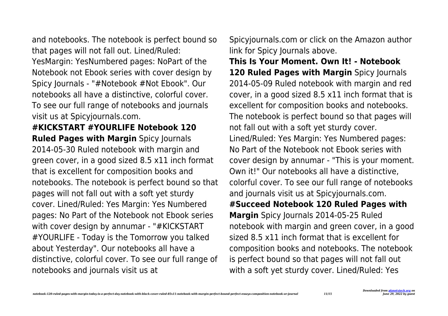and notebooks. The notebook is perfect bound so that pages will not fall out. Lined/Ruled: YesMargin: YesNumbered pages: NoPart of the Notebook not Ebook series with cover design by Spicy Journals - "#Notebook #Not Ebook". Our notebooks all have a distinctive, colorful cover. To see our full range of notebooks and journals visit us at Spicyjournals.com.

**#KICKSTART #YOURLIFE Notebook 120 Ruled Pages with Margin** Spicy Journals 2014-05-30 Ruled notebook with margin and green cover, in a good sized 8.5 x11 inch format that is excellent for composition books and notebooks. The notebook is perfect bound so that pages will not fall out with a soft yet sturdy cover. Lined/Ruled: Yes Margin: Yes Numbered pages: No Part of the Notebook not Ebook series with cover design by annumar - "#KICKSTART #YOURLIFE - Today is the Tomorrow you talked about Yesterday". Our notebooks all have a distinctive, colorful cover. To see our full range of notebooks and journals visit us at

Spicyjournals.com or click on the Amazon author link for Spicy Journals above.

**This Is Your Moment. Own It! - Notebook 120 Ruled Pages with Margin** Spicy Journals 2014-05-09 Ruled notebook with margin and red cover, in a good sized 8.5 x11 inch format that is excellent for composition books and notebooks. The notebook is perfect bound so that pages will not fall out with a soft yet sturdy cover. Lined/Ruled: Yes Margin: Yes Numbered pages: No Part of the Notebook not Ebook series with cover design by annumar - "This is your moment. Own it!" Our notebooks all have a distinctive, colorful cover. To see our full range of notebooks and journals visit us at Spicyjournals.com. **#Succeed Notebook 120 Ruled Pages with Margin** Spicy Journals 2014-05-25 Ruled notebook with margin and green cover, in a good sized 8.5 x11 inch format that is excellent for composition books and notebooks. The notebook is perfect bound so that pages will not fall out with a soft yet sturdy cover. Lined/Ruled: Yes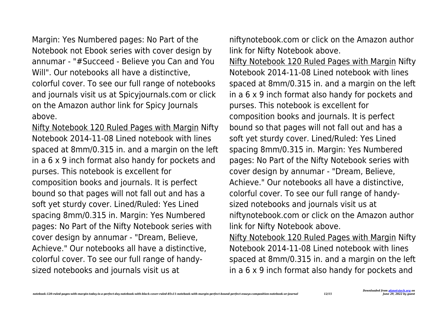Margin: Yes Numbered pages: No Part of the Notebook not Ebook series with cover design by annumar - "#Succeed - Believe you Can and You Will". Our notebooks all have a distinctive,

colorful cover. To see our full range of notebooks and journals visit us at Spicyjournals.com or click on the Amazon author link for Spicy Journals above.

Nifty Notebook 120 Ruled Pages with Margin Nifty Notebook 2014-11-08 Lined notebook with lines spaced at 8mm/0.315 in. and a margin on the left in a 6 x 9 inch format also handy for pockets and purses. This notebook is excellent for composition books and journals. It is perfect bound so that pages will not fall out and has a soft yet sturdy cover. Lined/Ruled: Yes Lined spacing 8mm/0.315 in. Margin: Yes Numbered pages: No Part of the Nifty Notebook series with cover design by annumar - "Dream, Believe, Achieve." Our notebooks all have a distinctive, colorful cover. To see our full range of handysized notebooks and journals visit us at

niftynotebook.com or click on the Amazon author link for Nifty Notebook above.

Nifty Notebook 120 Ruled Pages with Margin Nifty Notebook 2014-11-08 Lined notebook with lines spaced at 8mm/0.315 in. and a margin on the left in a 6 x 9 inch format also handy for pockets and purses. This notebook is excellent for composition books and journals. It is perfect bound so that pages will not fall out and has a soft yet sturdy cover. Lined/Ruled: Yes Lined spacing 8mm/0.315 in. Margin: Yes Numbered pages: No Part of the Nifty Notebook series with cover design by annumar - "Dream, Believe, Achieve." Our notebooks all have a distinctive, colorful cover. To see our full range of handysized notebooks and journals visit us at niftynotebook.com or click on the Amazon author link for Nifty Notebook above.

Nifty Notebook 120 Ruled Pages with Margin Nifty Notebook 2014-11-08 Lined notebook with lines spaced at 8mm/0.315 in. and a margin on the left in a 6 x 9 inch format also handy for pockets and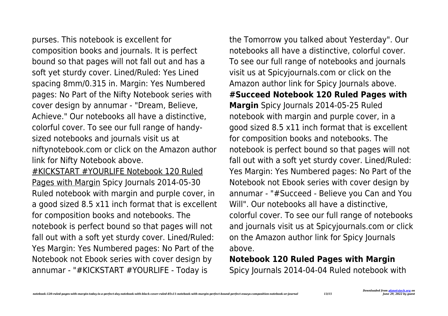purses. This notebook is excellent for composition books and journals. It is perfect bound so that pages will not fall out and has a soft yet sturdy cover. Lined/Ruled: Yes Lined spacing 8mm/0.315 in. Margin: Yes Numbered pages: No Part of the Nifty Notebook series with cover design by annumar - "Dream, Believe, Achieve." Our notebooks all have a distinctive, colorful cover. To see our full range of handysized notebooks and journals visit us at niftynotebook.com or click on the Amazon author link for Nifty Notebook above.

#KICKSTART #YOURLIFE Notebook 120 Ruled Pages with Margin Spicy Journals 2014-05-30 Ruled notebook with margin and purple cover, in a good sized 8.5 x11 inch format that is excellent for composition books and notebooks. The notebook is perfect bound so that pages will not fall out with a soft yet sturdy cover. Lined/Ruled: Yes Margin: Yes Numbered pages: No Part of the Notebook not Ebook series with cover design by annumar - "#KICKSTART #YOURLIFE - Today is

the Tomorrow you talked about Yesterday". Our notebooks all have a distinctive, colorful cover. To see our full range of notebooks and journals visit us at Spicyjournals.com or click on the Amazon author link for Spicy Journals above. **#Succeed Notebook 120 Ruled Pages with Margin** Spicy Journals 2014-05-25 Ruled notebook with margin and purple cover, in a good sized 8.5 x11 inch format that is excellent for composition books and notebooks. The notebook is perfect bound so that pages will not fall out with a soft yet sturdy cover. Lined/Ruled: Yes Margin: Yes Numbered pages: No Part of the Notebook not Ebook series with cover design by annumar - "#Succeed - Believe you Can and You Will". Our notebooks all have a distinctive, colorful cover. To see our full range of notebooks and journals visit us at Spicyjournals.com or click on the Amazon author link for Spicy Journals above.

## **Notebook 120 Ruled Pages with Margin** Spicy Journals 2014-04-04 Ruled notebook with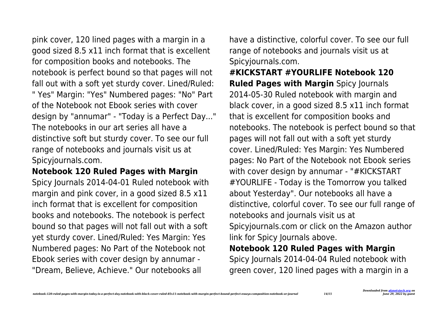pink cover, 120 lined pages with a margin in a good sized 8.5 x11 inch format that is excellent for composition books and notebooks. The notebook is perfect bound so that pages will not fall out with a soft yet sturdy cover. Lined/Ruled: " Yes" Margin: "Yes" Numbered pages: "No" Part of the Notebook not Ebook series with cover design by "annumar" - "Today is a Perfect Day..." The notebooks in our art series all have a distinctive soft but sturdy cover. To see our full range of notebooks and journals visit us at Spicyjournals.com.

#### **Notebook 120 Ruled Pages with Margin**

Spicy Journals 2014-04-01 Ruled notebook with margin and pink cover, in a good sized 8.5 x11 inch format that is excellent for composition books and notebooks. The notebook is perfect bound so that pages will not fall out with a soft yet sturdy cover. Lined/Ruled: Yes Margin: Yes Numbered pages: No Part of the Notebook not Ebook series with cover design by annumar - "Dream, Believe, Achieve." Our notebooks all

have a distinctive, colorful cover. To see our full range of notebooks and journals visit us at Spicyjournals.com.

**#KICKSTART #YOURLIFE Notebook 120 Ruled Pages with Margin** Spicy Journals 2014-05-30 Ruled notebook with margin and black cover, in a good sized 8.5 x11 inch format that is excellent for composition books and notebooks. The notebook is perfect bound so that pages will not fall out with a soft yet sturdy cover. Lined/Ruled: Yes Margin: Yes Numbered pages: No Part of the Notebook not Ebook series with cover design by annumar - "#KICKSTART #YOURLIFE - Today is the Tomorrow you talked about Yesterday". Our notebooks all have a distinctive, colorful cover. To see our full range of notebooks and journals visit us at Spicyjournals.com or click on the Amazon author link for Spicy Journals above. **Notebook 120 Ruled Pages with Margin**

Spicy Journals 2014-04-04 Ruled notebook with green cover, 120 lined pages with a margin in a